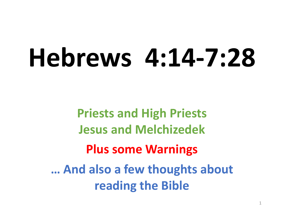# **Hebrews 4:14-7:28**

**Priests and High Priests Jesus and Melchizedek Plus some Warnings … And also a few thoughts about reading the Bible**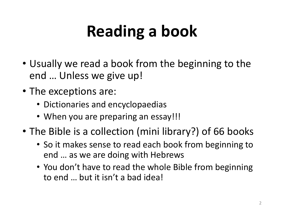# **Reading a book**

- Usually we read a book from the beginning to the end … Unless we give up!
- The exceptions are:
	- Dictionaries and encyclopaedias
	- When you are preparing an essay!!!
- The Bible is a collection (mini library?) of 66 books
	- So it makes sense to read each book from beginning to end … as we are doing with Hebrews
	- You don't have to read the whole Bible from beginning to end … but it isn't a bad idea!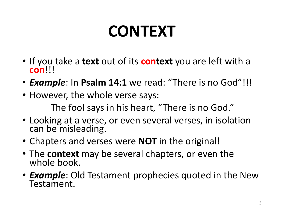# **CONTEXT**

- If you take a **text** out of its **context** you are left with a **con**!!!
- *Example*: In **Psalm 14:1** we read: "There is no God"!!!
- However, the whole verse says:

The fool says in his heart, "There is no God."

- Looking at a verse, or even several verses, in isolation can be misleading.
- Chapters and verses were **NOT** in the original!
- The **context** may be several chapters, or even the whole book.
- *Example*: Old Testament prophecies quoted in the New Testament.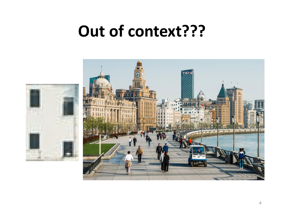#### **Out of context???**

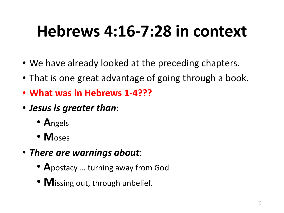# **Hebrews 4:16-7:28 in context**

- We have already looked at the preceding chapters.
- That is one great advantage of going through a book.
- **What was in Hebrews 1-4???**
- *Jesus is greater than*:
	- **A**ngels
	- **M**oses
- *There are warnings about*:
	- **A**postacy … turning away from God
	- **M** issing out, through unbelief.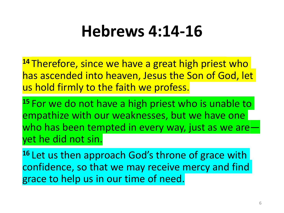### **Hebrews 4:14-16**

**<sup>14</sup>** Therefore, since we have a great high priest who has ascended into heaven, Jesus the Son of God, let us hold firmly to the faith we profess.

**<sup>15</sup>** For we do not have a high priest who is unable to empathize with our weaknesses, but we have one who has been tempted in every way, just as we are yet he did not sin.

16 Let us then approach God's throne of grace with confidence, so that we may receive mercy and find grace to help us in our time of need.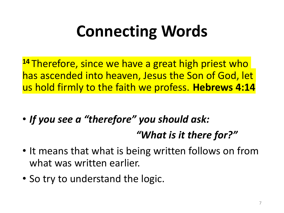# **Connecting Words**

**<sup>14</sup>** Therefore, since we have a great high priest who has ascended into heaven, Jesus the Son of God, let us hold firmly to the faith we profess. **Hebrews 4:14**

- *If you see a "therefore" you should ask: "What is it there for?"*
- It means that what is being written follows on from what was written earlier.
- So try to understand the logic.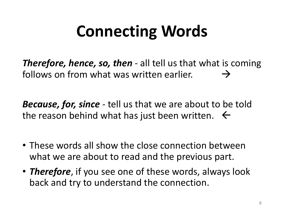# **Connecting Words**

*Therefore, hence, so, then -* all tell us that what is coming follows on from what was written earlier.  $\rightarrow$ 

*Because, for, since -* tell us that we are about to be told the reason behind what has just been written.  $\leftarrow$ 

- These words all show the close connection between what we are about to read and the previous part.
- *Therefore*, if you see one of these words, always look back and try to understand the connection.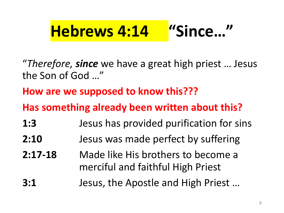### **Hebrews 4:14 "Since…"**

"*Therefore, since* we have a great high priest … Jesus the Son of God …"

**How are we supposed to know this???**

**Has something already been written about this?** 

- **1:3** Jesus has provided purification for sins
- **2:10** Jesus was made perfect by suffering
- **2:17-18** Made like His brothers to become a merciful and faithful High Priest
- **3:1** Jesus, the Apostle and High Priest …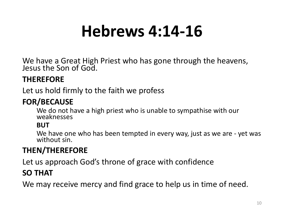# **Hebrews 4:14-16**

We have a Great High Priest who has gone through the heavens, Jesus the Son of God.

#### **THEREFORE**

Let us hold firmly to the faith we profess

#### **FOR/BECAUSE**

We do not have a high priest who is unable to sympathise with our weaknesses

#### **BUT**

We have one who has been tempted in every way, just as we are - yet was without sin.

#### **THEN/THEREFORE**

Let us approach God's throne of grace with confidence

#### **SO THAT**

We may receive mercy and find grace to help us in time of need.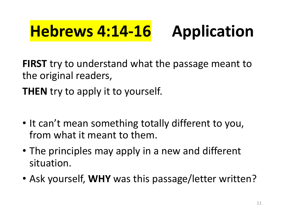# **Hebrews 4:14-16 Application**

**FIRST** try to understand what the passage meant to the original readers,

**THEN** try to apply it to yourself.

- It can't mean something totally different to you, from what it meant to them.
- The principles may apply in a new and different situation.
- Ask yourself, **WHY** was this passage/letter written?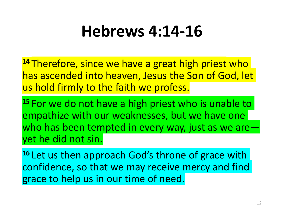### **Hebrews 4:14-16**

**<sup>14</sup>** Therefore, since we have a great high priest who has ascended into heaven, Jesus the Son of God, let us hold firmly to the faith we profess.

**<sup>15</sup>** For we do not have a high priest who is unable to empathize with our weaknesses, but we have one who has been tempted in every way, just as we are yet he did not sin.

16 Let us then approach God's throne of grace with confidence, so that we may receive mercy and find grace to help us in our time of need.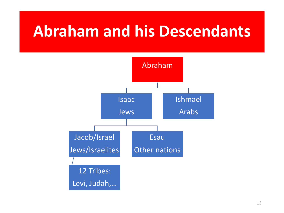#### **Abraham and his Descendants**

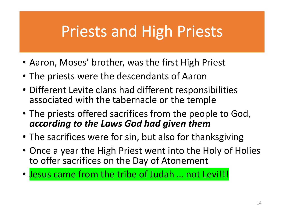#### Priests and High Priests

- Aaron, Moses' brother, was the first High Priest
- The priests were the descendants of Aaron
- Different Levite clans had different responsibilities associated with the tabernacle or the temple
- The priests offered sacrifices from the people to God, *according to the Laws God had given them*
- The sacrifices were for sin, but also for thanksgiving
- Once a year the High Priest went into the Holy of Holies to offer sacrifices on the Day of Atonement
- Jesus came from the tribe of Judah … not Levi!!!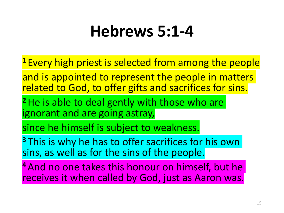### **Hebrews 5:1-4**

- **<sup>1</sup>** Every high priest is selected from among the people
- and is appointed to represent the people in matters related to God, to offer gifts and sacrifices for sins.
- <sup>2</sup> He is able to deal gently with those who are ignorant and are going astray,
- since he himself is subject to weakness.
- **<sup>3</sup>** This is why he has to offer sacrifices for his own sins, as well as for the sins of the people.
- **<sup>4</sup>** And no one takes this honour on himself, but he receives it when called by God, just as Aaron was.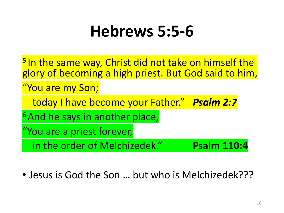### **Hebrews 5:5-6**

- **<sup>5</sup>** In the same way, Christ did not take on himself the glory of becoming a high priest. But God said to him, "You are my Son; today I have become your Father." *Psalm 2:7* **<sup>6</sup>** And he says in another place, "You are a priest forever, in the order of Melchizedek." **Psalm 110:4**
- Jesus is God the Son … but who is Melchizedek???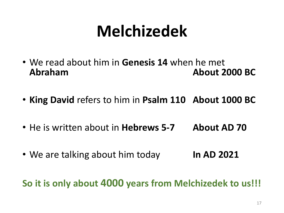# **Melchizedek**

- We read about him in **Genesis 14** when he met **Abraham About 2000 BC**
- **King David** refers to him in **Psalm 110 About 1000 BC**
- He is written about in **Hebrews 5-7 About AD 70**
- We are talking about him today **In AD 2021**

**So it is only about 4000 years from Melchizedek to us!!!**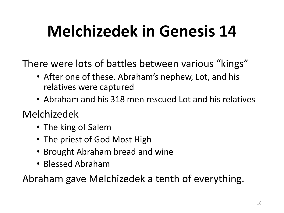# **Melchizedek in Genesis 14**

There were lots of battles between various "kings"

- After one of these, Abraham's nephew, Lot, and his relatives were captured
- Abraham and his 318 men rescued Lot and his relatives

Melchizedek

- The king of Salem
- The priest of God Most High
- Brought Abraham bread and wine
- Blessed Abraham

Abraham gave Melchizedek a tenth of everything.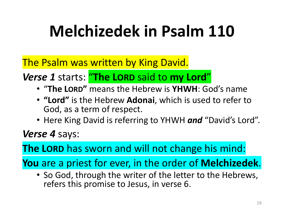# **Melchizedek in Psalm 110**

The Psalm was written by King David.

*Verse 1* starts: "**The LORD** said to **my Lord**"

- "**The LORD"** means the Hebrew is **YHWH**: God's name
- **"Lord"** is the Hebrew **Adonai**, which is used to refer to God, as a term of respect.
- Here King David is referring to YHWH *and* "David's Lord".

*Verse 4* says:

**The LORD** has sworn and will not change his mind:

**You** are a priest for ever, in the order of **Melchizedek**.

• So God, through the writer of the letter to the Hebrews, refers this promise to Jesus, in verse 6.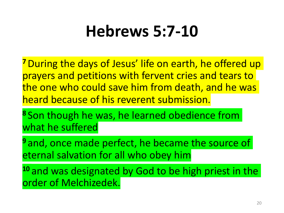### **Hebrews 5:7-10**

**<sup>7</sup>**During the days of Jesus' life on earth, he offered up prayers and petitions with fervent cries and tears to the one who could save him from death, and he was heard because of his reverent submission.

**<sup>8</sup>** Son though he was, he learned obedience from what he suffered

<sup>9</sup> and, once made perfect, he became the source of eternal salvation for all who obey him

10 and was designated by God to be high priest in the order of Melchizedek.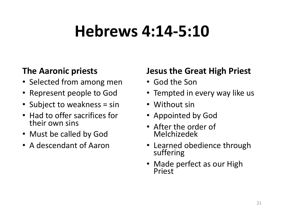# **Hebrews 4:14-5:10**

#### **The Aaronic priests**

- Selected from among men
- Represent people to God
- Subject to weakness = sin
- Had to offer sacrifices for their own sins
- Must be called by God
- A descendant of Aaron

#### **Jesus the Great High Priest**

- God the Son
- Tempted in every way like us
- Without sin
- Appointed by God
- After the order of Melchizedek
- Learned obedience through suffering
- Made perfect as our High Priest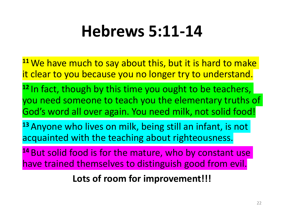# **Hebrews 5:11-14**

- **<sup>11</sup>** We have much to say about this, but it is hard to make it clear to you because you no longer try to understand.
- **<sup>12</sup>** In fact, though by this time you ought to be teachers, you need someone to teach you the elementary truths of God's word all over again. You need milk, not solid food!
- **<sup>13</sup>** Anyone who lives on milk, being still an infant, is not acquainted with the teaching about righteousness.
- **<sup>14</sup>** But solid food is for the mature, who by constant use have trained themselves to distinguish good from evil.

**Lots of room for improvement!!!**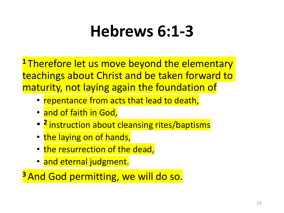# **Hebrews 6:1-3**

**<sup>1</sup>** Therefore let us move beyond the elementary teachings about Christ and be taken forward to maturity, not laying again the foundation of

- repentance from acts that lead to death,
- and of faith in God,
- **<sup>2</sup>** instruction about cleansing rites/baptisms
- the laying on of hands,
- the resurrection of the dead,
- and eternal judgment.

**<sup>3</sup>** And God permitting, we will do so.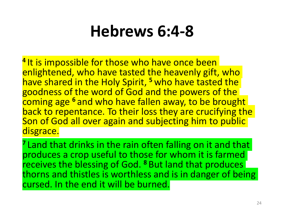### **Hebrews 6:4-8**

<sup>4</sup> It is impossible for those who have once been enlightened, who have tasted the heavenly gift, who have shared in the Holy Spirit, **<sup>5</sup>** who have tasted the goodness of the word of God and the powers of the coming age **<sup>6</sup>** and who have fallen away, to be brought back to repentance. To their loss they are crucifying the Son of God all over again and subjecting him to public disgrace.

**<sup>7</sup>** Land that drinks in the rain often falling on it and that produces a crop useful to those for whom it is farmed receives the blessing of God. **<sup>8</sup>** But land that produces thorns and thistles is worthless and is in danger of being cursed. In the end it will be burned.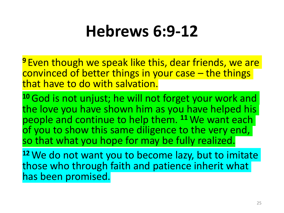### **Hebrews 6:9-12**

**<sup>9</sup>** Even though we speak like this, dear friends, we are convinced of better things in your case – the things that have to do with salvation.

10 God is not unjust; he will not forget your work and the love you have shown him as you have helped his people and continue to help them. **<sup>11</sup>**We want each of you to show this same diligence to the very end, so that what you hope for may be fully realized.

**<sup>12</sup>**We do not want you to become lazy, but to imitate those who through faith and patience inherit what has been promised.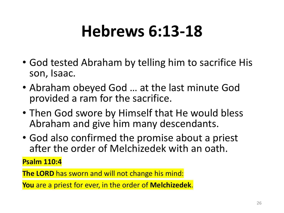# **Hebrews 6:13-18**

- God tested Abraham by telling him to sacrifice His son, Isaac.
- Abraham obeyed God … at the last minute God provided a ram for the sacrifice.
- Then God swore by Himself that He would bless Abraham and give him many descendants.
- God also confirmed the promise about a priest after the order of Melchizedek with an oath.

**Psalm 110:4**

**The LORD** has sworn and will not change his mind:

**You** are a priest for ever, in the order of **Melchizedek**.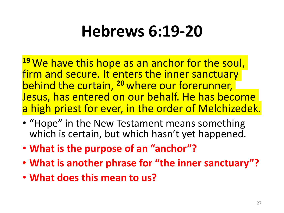# **Hebrews 6:19-20**

**<sup>19</sup>** We have this hope as an anchor for the soul, firm and secure. It enters the inner sanctuary behind the curtain, **<sup>20</sup>** where our forerunner, Jesus, has entered on our behalf. He has become a high priest for ever, in the order of Melchizedek.

- "Hope" in the New Testament means something which is certain, but which hasn't yet happened.
- **What is the purpose of an "anchor"?**
- **What is another phrase for "the inner sanctuary"?**
- **What does this mean to us?**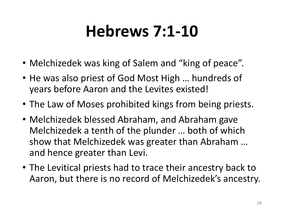# **Hebrews 7:1-10**

- Melchizedek was king of Salem and "king of peace".
- He was also priest of God Most High … hundreds of years before Aaron and the Levites existed!
- The Law of Moses prohibited kings from being priests.
- Melchizedek blessed Abraham, and Abraham gave Melchizedek a tenth of the plunder … both of which show that Melchizedek was greater than Abraham … and hence greater than Levi.
- The Levitical priests had to trace their ancestry back to Aaron, but there is no record of Melchizedek's ancestry.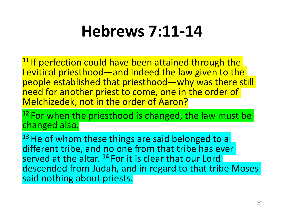### **Hebrews 7:11-14**

<sup>11</sup> If perfection could have been attained through the Levitical priesthood—and indeed the law given to the people established that priesthood—why was there still need for another priest to come, one in the order of Melchizedek, not in the order of Aaron?

**<sup>12</sup>** For when the priesthood is changed, the law must be changed also.

13 He of whom these things are said belonged to a different tribe, and no one from that tribe has ever served at the altar. **<sup>14</sup>** For it is clear that our Lord descended from Judah, and in regard to that tribe Moses said nothing about priests.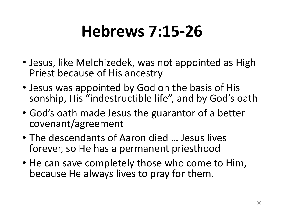# **Hebrews 7:15-26**

- Jesus, like Melchizedek, was not appointed as High Priest because of His ancestry
- Jesus was appointed by God on the basis of His sonship, His "indestructible life", and by God's oath
- God's oath made Jesus the guarantor of a better covenant/agreement
- The descendants of Aaron died … Jesus lives forever, so He has a permanent priesthood
- He can save completely those who come to Him, because He always lives to pray for them.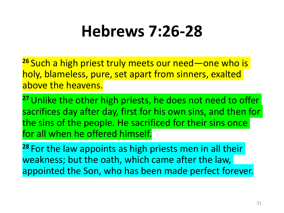# **Hebrews 7:26-28**

**<sup>26</sup>** Such a high priest truly meets our need—one who is holy, blameless, pure, set apart from sinners, exalted above the heavens.

**<sup>27</sup>**Unlike the other high priests, he does not need to offer sacrifices day after day, first for his own sins, and then for the sins of the people. He sacrificed for their sins once for all when he offered himself.

**<sup>28</sup>** For the law appoints as high priests men in all their weakness; but the oath, which came after the law, appointed the Son, who has been made perfect forever.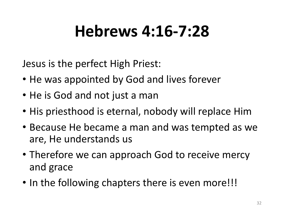# **Hebrews 4:16-7:28**

Jesus is the perfect High Priest:

- He was appointed by God and lives forever
- He is God and not just a man
- His priesthood is eternal, nobody will replace Him
- Because He became a man and was tempted as we are, He understands us
- Therefore we can approach God to receive mercy and grace
- In the following chapters there is even more!!!